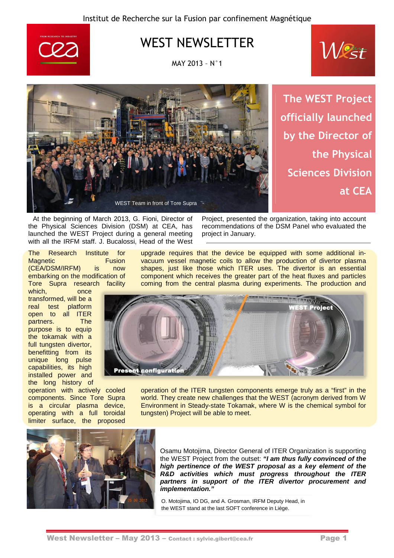

## **COO** WEST NEWSLETTER

MAY 2013 – N°1



**The WEST Project officially launched by the Director of the Physical Sciences Division at CEA**

West

At the beginning of March 2013, G. Fioni, Director of the Physical Sciences Division (DSM) at CEA, has launched the WEST Project during a general meeting with all the IRFM staff. J. Bucalossi, Head of the West

Project, presented the organization, taking into account recommendations of the DSM Panel who evaluated the project in January.

The Research Institute for Magnetic **Fusion** (CEA/DSM/IRFM) is now embarking on the modification of Tore Supra research facility

which, once transformed, will be a real test platform open to all ITER partners. The purpose is to equip the tokamak with a full tungsten divertor, benefitting from its unique long pulse capabilities, its high installed power and the long history of

operation with actively cooled components. Since Tore Supra is a circular plasma device, operating with a full toroidal limiter surface, the proposed

upgrade requires that the device be equipped with some additional invacuum vessel magnetic coils to allow the production of divertor plasma shapes, just like those which ITER uses. The divertor is an essential component which receives the greater part of the heat fluxes and particles coming from the central plasma during experiments. The production and



operation of the ITER tungsten components emerge truly as a "first" in the world. They create new challenges that the WEST (acronym derived from W Environment in Steady-state Tokamak, where W is the chemical symbol for tungsten) Project will be able to meet.



Osamu Motojima, Director General of ITER Organization is supporting the WEST Project from the outset: **"I am thus fully convinced of the high pertinence of the WEST proposal as a key element of the R&D activities which must progress throughout the ITER partners in support of the ITER divertor procurement and implementation."**

O. Motojima, IO DG, and A. Grosman, IRFM Deputy Head, in the WEST stand at the last SOFT conference in Liège.